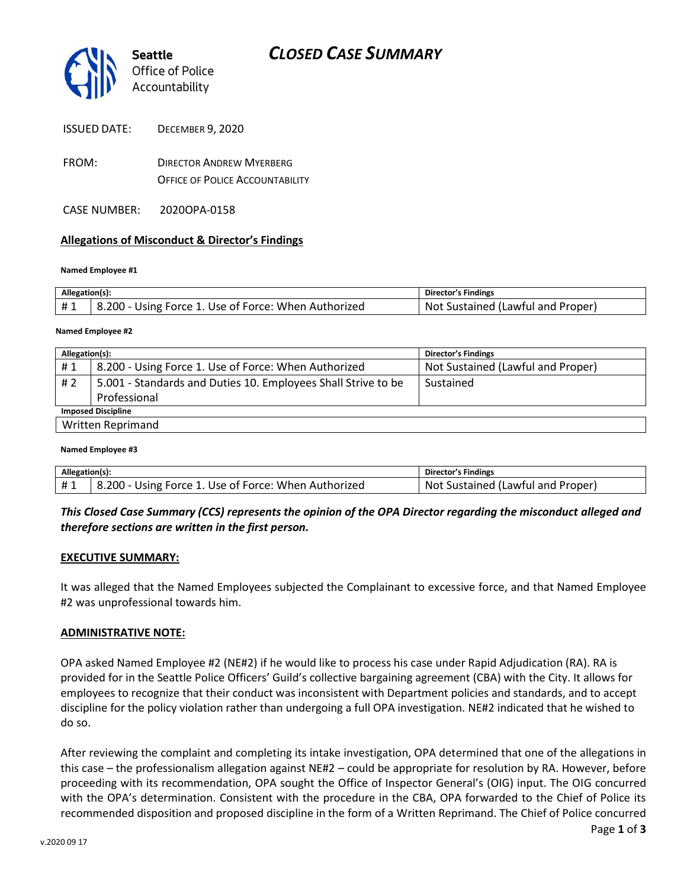

| <b>ISSUED DATE:</b> | <b>DECEMBER 9, 2020</b> |
|---------------------|-------------------------|
|---------------------|-------------------------|

- FROM: DIRECTOR ANDREW MYERBERG OFFICE OF POLICE ACCOUNTABILITY
- CASE NUMBER: 2020OPA-0158

## **Allegations of Misconduct & Director's Findings**

### **Named Employee #1**

| Allegation(s): |                                                      | Director's Findings               |
|----------------|------------------------------------------------------|-----------------------------------|
|                | 8.200 - Using Force 1. Use of Force: When Authorized | Not Sustained (Lawful and Proper) |

### **Named Employee #2**

| Allegation(s):            |                                                               | <b>Director's Findings</b>        |  |  |
|---------------------------|---------------------------------------------------------------|-----------------------------------|--|--|
| #1                        | 8.200 - Using Force 1. Use of Force: When Authorized          | Not Sustained (Lawful and Proper) |  |  |
| #2                        | 5.001 - Standards and Duties 10. Employees Shall Strive to be | Sustained                         |  |  |
|                           | Professional                                                  |                                   |  |  |
| <b>Imposed Discipline</b> |                                                               |                                   |  |  |
| <b>Written Reprimand</b>  |                                                               |                                   |  |  |

#### **Named Employee #3**

| Allegation(s): |                                                      | Director's Findings               |
|----------------|------------------------------------------------------|-----------------------------------|
| #1             | 8.200 - Using Force 1. Use of Force: When Authorized | Not Sustained (Lawful and Proper) |

## *This Closed Case Summary (CCS) represents the opinion of the OPA Director regarding the misconduct alleged and therefore sections are written in the first person.*

### **EXECUTIVE SUMMARY:**

It was alleged that the Named Employees subjected the Complainant to excessive force, and that Named Employee #2 was unprofessional towards him.

### **ADMINISTRATIVE NOTE:**

OPA asked Named Employee #2 (NE#2) if he would like to process his case under Rapid Adjudication (RA). RA is provided for in the Seattle Police Officers' Guild's collective bargaining agreement (CBA) with the City. It allows for employees to recognize that their conduct was inconsistent with Department policies and standards, and to accept discipline for the policy violation rather than undergoing a full OPA investigation. NE#2 indicated that he wished to do so.

After reviewing the complaint and completing its intake investigation, OPA determined that one of the allegations in this case – the professionalism allegation against NE#2 – could be appropriate for resolution by RA. However, before proceeding with its recommendation, OPA sought the Office of Inspector General's (OIG) input. The OIG concurred with the OPA's determination. Consistent with the procedure in the CBA, OPA forwarded to the Chief of Police its recommended disposition and proposed discipline in the form of a Written Reprimand. The Chief of Police concurred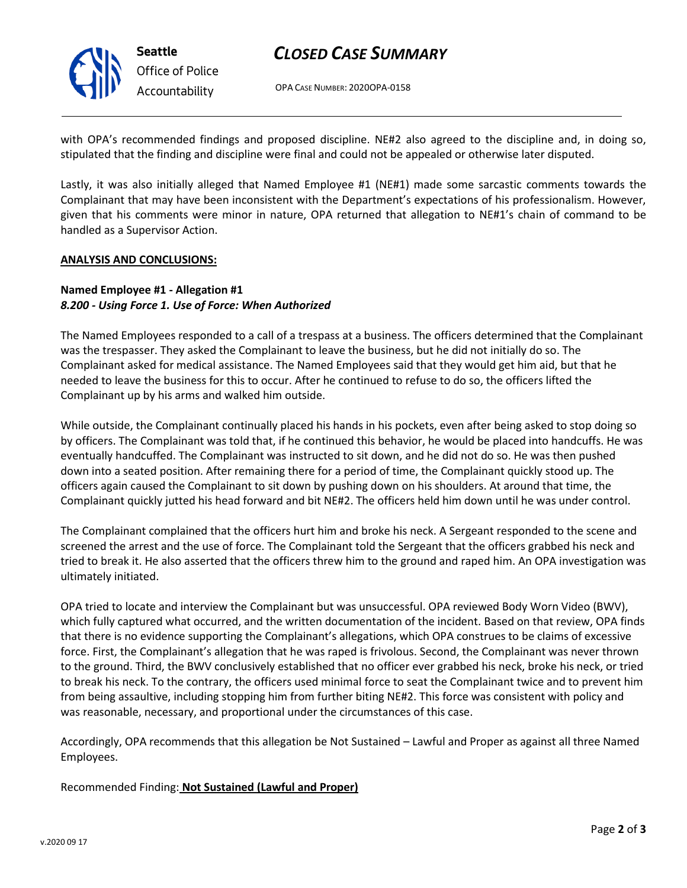

# *CLOSED CASE SUMMARY*

OPA CASE NUMBER: 2020OPA-0158

with OPA's recommended findings and proposed discipline. NE#2 also agreed to the discipline and, in doing so, stipulated that the finding and discipline were final and could not be appealed or otherwise later disputed.

Lastly, it was also initially alleged that Named Employee #1 (NE#1) made some sarcastic comments towards the Complainant that may have been inconsistent with the Department's expectations of his professionalism. However, given that his comments were minor in nature, OPA returned that allegation to NE#1's chain of command to be handled as a Supervisor Action.

### **ANALYSIS AND CONCLUSIONS:**

## **Named Employee #1 - Allegation #1** *8.200 - Using Force 1. Use of Force: When Authorized*

The Named Employees responded to a call of a trespass at a business. The officers determined that the Complainant was the trespasser. They asked the Complainant to leave the business, but he did not initially do so. The Complainant asked for medical assistance. The Named Employees said that they would get him aid, but that he needed to leave the business for this to occur. After he continued to refuse to do so, the officers lifted the Complainant up by his arms and walked him outside.

While outside, the Complainant continually placed his hands in his pockets, even after being asked to stop doing so by officers. The Complainant was told that, if he continued this behavior, he would be placed into handcuffs. He was eventually handcuffed. The Complainant was instructed to sit down, and he did not do so. He was then pushed down into a seated position. After remaining there for a period of time, the Complainant quickly stood up. The officers again caused the Complainant to sit down by pushing down on his shoulders. At around that time, the Complainant quickly jutted his head forward and bit NE#2. The officers held him down until he was under control.

The Complainant complained that the officers hurt him and broke his neck. A Sergeant responded to the scene and screened the arrest and the use of force. The Complainant told the Sergeant that the officers grabbed his neck and tried to break it. He also asserted that the officers threw him to the ground and raped him. An OPA investigation was ultimately initiated.

OPA tried to locate and interview the Complainant but was unsuccessful. OPA reviewed Body Worn Video (BWV), which fully captured what occurred, and the written documentation of the incident. Based on that review, OPA finds that there is no evidence supporting the Complainant's allegations, which OPA construes to be claims of excessive force. First, the Complainant's allegation that he was raped is frivolous. Second, the Complainant was never thrown to the ground. Third, the BWV conclusively established that no officer ever grabbed his neck, broke his neck, or tried to break his neck. To the contrary, the officers used minimal force to seat the Complainant twice and to prevent him from being assaultive, including stopping him from further biting NE#2. This force was consistent with policy and was reasonable, necessary, and proportional under the circumstances of this case.

Accordingly, OPA recommends that this allegation be Not Sustained – Lawful and Proper as against all three Named Employees.

Recommended Finding: **Not Sustained (Lawful and Proper)**